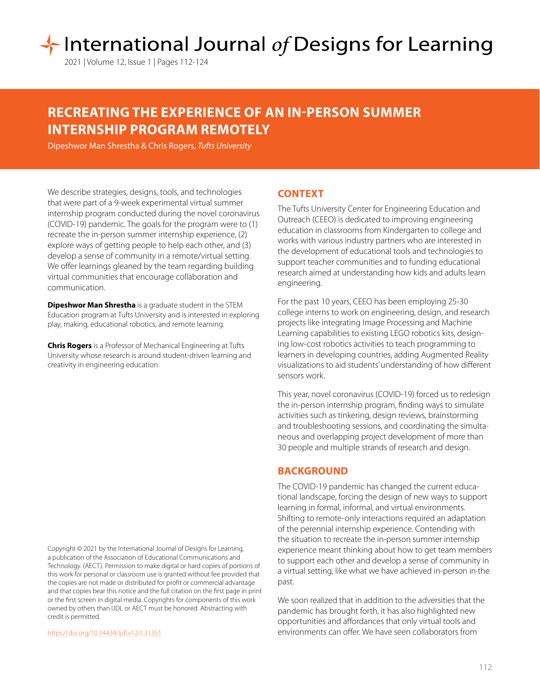# International Journal of Designs for Learning

2021 | Volume 12, Issue 1 | Pages 112-124

# **RECREATING THE EXPERIENCE OF AN IN-PERSON SUMMER INTERNSHIP PROGRAM REMOTELY**

Dipeshwor Man Shrestha & Chris Rogers, *Tufts University*

We describe strategies, designs, tools, and technologies that were part of a 9-week experimental virtual summer internship program conducted during the novel coronavirus (COVID-19) pandemic. The goals for the program were to (1) recreate the in-person summer internship experience, (2) explore ways of getting people to help each other, and (3) develop a sense of community in a remote/virtual setting. We offer learnings gleaned by the team regarding building virtual communities that encourage collaboration and communication.

**Dipeshwor Man Shrestha** is a graduate student in the STEM Education program at Tufts University and is interested in exploring play, making, educational robotics, and remote learning.

**Chris Rogers** is a Professor of Mechanical Engineering at Tufts University whose research is around student-driven learning and creativity in engineering education.

Copyright © 2021 by the International Journal of Designs for Learning, a publication of the Association of Educational Communications and Technology. (AECT). Permission to make digital or hard copies of portions of this work for personal or classroom use is granted without fee provided that the copies are not made or distributed for profit or commercial advantage and that copies bear this notice and the full citation on the first page in print or the first screen in digital media. Copyrights for components of this work owned by others than IJDL or AECT must be honored. Abstracting with credit is permitted.

[https://doi.org/](https://doi.org/10.14434/ijdl.v12i1.31351)10.14434/ijdl.v12i1.31351

# **CONTEXT**

The Tufts University Center for Engineering Education and Outreach (CEEO) is dedicated to improving engineering education in classrooms from Kindergarten to college and works with various industry partners who are interested in the development of educational tools and technologies to support teacher communities and to funding educational research aimed at understanding how kids and adults learn engineering.

For the past 10 years, CEEO has been employing 25-30 college interns to work on engineering, design, and research projects like integrating Image Processing and Machine Learning capabilities to existing LEGO robotics kits, designing low-cost robotics activities to teach programming to learners in developing countries, adding Augmented Reality visualizations to aid students' understanding of how different sensors work.

This year, novel coronavirus (COVID-19) forced us to redesign the in-person internship program, finding ways to simulate activities such as tinkering, design reviews, brainstorming and troubleshooting sessions, and coordinating the simultaneous and overlapping project development of more than 30 people and multiple strands of research and design.

# **BACKGROUND**

The COVID-19 pandemic has changed the current educational landscape, forcing the design of new ways to support learning in formal, informal, and virtual environments. Shifting to remote-only interactions required an adaptation of the perennial internship experience. Contending with the situation to recreate the in-person summer internship experience meant thinking about how to get team members to support each other and develop a sense of community in a virtual setting, like what we have achieved in-person in the past.

We soon realized that in addition to the adversities that the pandemic has brought forth, it has also highlighted new opportunities and affordances that only virtual tools and environments can offer. We have seen collaborators from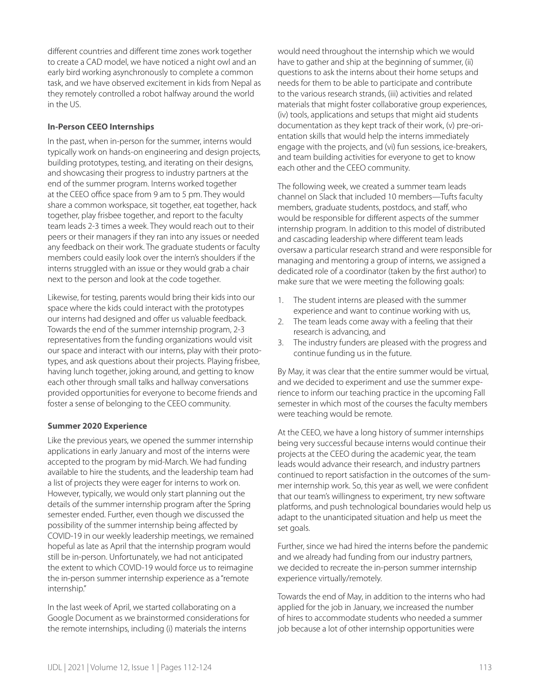different countries and different time zones work together to create a CAD model, we have noticed a night owl and an early bird working asynchronously to complete a common task, and we have observed excitement in kids from Nepal as they remotely controlled a robot halfway around the world in the US.

# **In-Person CEEO Internships**

In the past, when in-person for the summer, interns would typically work on hands-on engineering and design projects, building prototypes, testing, and iterating on their designs, and showcasing their progress to industry partners at the end of the summer program. Interns worked together at the CEEO office space from 9 am to 5 pm. They would share a common workspace, sit together, eat together, hack together, play frisbee together, and report to the faculty team leads 2-3 times a week. They would reach out to their peers or their managers if they ran into any issues or needed any feedback on their work. The graduate students or faculty members could easily look over the intern's shoulders if the interns struggled with an issue or they would grab a chair next to the person and look at the code together.

Likewise, for testing, parents would bring their kids into our space where the kids could interact with the prototypes our interns had designed and offer us valuable feedback. Towards the end of the summer internship program, 2-3 representatives from the funding organizations would visit our space and interact with our interns, play with their prototypes, and ask questions about their projects. Playing frisbee, having lunch together, joking around, and getting to know each other through small talks and hallway conversations provided opportunities for everyone to become friends and foster a sense of belonging to the CEEO community.

#### **Summer 2020 Experience**

Like the previous years, we opened the summer internship applications in early January and most of the interns were accepted to the program by mid-March. We had funding available to hire the students, and the leadership team had a list of projects they were eager for interns to work on. However, typically, we would only start planning out the details of the summer internship program after the Spring semester ended. Further, even though we discussed the possibility of the summer internship being affected by COVID-19 in our weekly leadership meetings, we remained hopeful as late as April that the internship program would still be in-person. Unfortunately, we had not anticipated the extent to which COVID-19 would force us to reimagine the in-person summer internship experience as a "remote internship."

In the last week of April, we started collaborating on a Google Document as we brainstormed considerations for the remote internships, including (i) materials the interns

would need throughout the internship which we would have to gather and ship at the beginning of summer, (ii) questions to ask the interns about their home setups and needs for them to be able to participate and contribute to the various research strands, (iii) activities and related materials that might foster collaborative group experiences, (iv) tools, applications and setups that might aid students documentation as they kept track of their work, (v) pre-orientation skills that would help the interns immediately engage with the projects, and (vi) fun sessions, ice-breakers, and team building activities for everyone to get to know each other and the CEEO community.

The following week, we created a summer team leads channel on Slack that included 10 members—Tufts faculty members, graduate students, postdocs, and staff, who would be responsible for different aspects of the summer internship program. In addition to this model of distributed and cascading leadership where different team leads oversaw a particular research strand and were responsible for managing and mentoring a group of interns, we assigned a dedicated role of a coordinator (taken by the first author) to make sure that we were meeting the following goals:

- 1. The student interns are pleased with the summer experience and want to continue working with us,
- 2. The team leads come away with a feeling that their research is advancing, and
- 3. The industry funders are pleased with the progress and continue funding us in the future.

By May, it was clear that the entire summer would be virtual, and we decided to experiment and use the summer experience to inform our teaching practice in the upcoming Fall semester in which most of the courses the faculty members were teaching would be remote.

At the CEEO, we have a long history of summer internships being very successful because interns would continue their projects at the CEEO during the academic year, the team leads would advance their research, and industry partners continued to report satisfaction in the outcomes of the summer internship work. So, this year as well, we were confident that our team's willingness to experiment, try new software platforms, and push technological boundaries would help us adapt to the unanticipated situation and help us meet the set goals.

Further, since we had hired the interns before the pandemic and we already had funding from our industry partners, we decided to recreate the in-person summer internship experience virtually/remotely.

Towards the end of May, in addition to the interns who had applied for the job in January, we increased the number of hires to accommodate students who needed a summer job because a lot of other internship opportunities were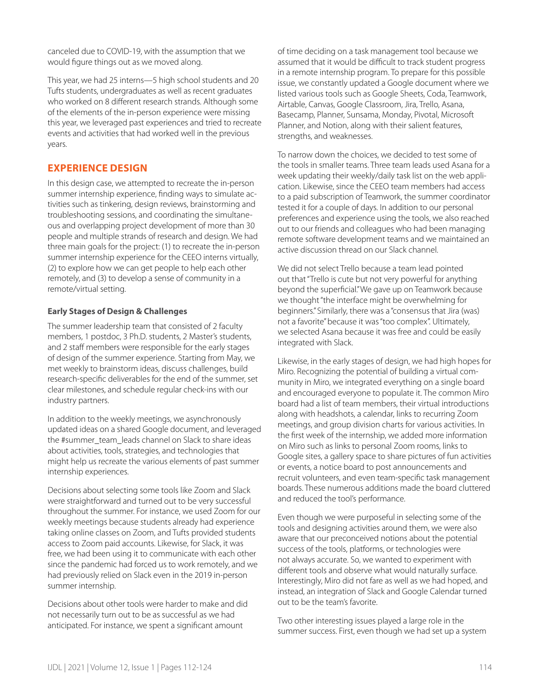canceled due to COVID-19, with the assumption that we would figure things out as we moved along.

This year, we had 25 interns—5 high school students and 20 Tufts students, undergraduates as well as recent graduates who worked on 8 different research strands. Although some of the elements of the in-person experience were missing this year, we leveraged past experiences and tried to recreate events and activities that had worked well in the previous years.

# **EXPERIENCE DESIGN**

In this design case, we attempted to recreate the in-person summer internship experience, finding ways to simulate activities such as tinkering, design reviews, brainstorming and troubleshooting sessions, and coordinating the simultaneous and overlapping project development of more than 30 people and multiple strands of research and design. We had three main goals for the project: (1) to recreate the in-person summer internship experience for the CEEO interns virtually, (2) to explore how we can get people to help each other remotely, and (3) to develop a sense of community in a remote/virtual setting.

# **Early Stages of Design & Challenges**

The summer leadership team that consisted of 2 faculty members, 1 postdoc, 3 Ph.D. students, 2 Master's students, and 2 staff members were responsible for the early stages of design of the summer experience. Starting from May, we met weekly to brainstorm ideas, discuss challenges, build research-specific deliverables for the end of the summer, set clear milestones, and schedule regular check-ins with our industry partners.

In addition to the weekly meetings, we asynchronously updated ideas on a shared Google document, and leveraged the #summer\_team\_leads channel on Slack to share ideas about activities, tools, strategies, and technologies that might help us recreate the various elements of past summer internship experiences.

Decisions about selecting some tools like Zoom and Slack were straightforward and turned out to be very successful throughout the summer. For instance, we used Zoom for our weekly meetings because students already had experience taking online classes on Zoom, and Tufts provided students access to Zoom paid accounts. Likewise, for Slack, it was free, we had been using it to communicate with each other since the pandemic had forced us to work remotely, and we had previously relied on Slack even in the 2019 in-person summer internship.

Decisions about other tools were harder to make and did not necessarily turn out to be as successful as we had anticipated. For instance, we spent a significant amount

of time deciding on a task management tool because we assumed that it would be difficult to track student progress in a remote internship program. To prepare for this possible issue, we constantly updated a Google document where we listed various tools such as Google Sheets, Coda, Teamwork, Airtable, Canvas, Google Classroom, Jira, Trello, Asana, Basecamp, Planner, Sunsama, Monday, Pivotal, Microsoft Planner, and Notion, along with their salient features, strengths, and weaknesses.

To narrow down the choices, we decided to test some of the tools in smaller teams. Three team leads used Asana for a week updating their weekly/daily task list on the web application. Likewise, since the CEEO team members had access to a paid subscription of Teamwork, the summer coordinator tested it for a couple of days. In addition to our personal preferences and experience using the tools, we also reached out to our friends and colleagues who had been managing remote software development teams and we maintained an active discussion thread on our Slack channel.

We did not select Trello because a team lead pointed out that "Trello is cute but not very powerful for anything beyond the superficial." We gave up on Teamwork because we thought "the interface might be overwhelming for beginners." Similarly, there was a "consensus that Jira (was) not a favorite" because it was "too complex". Ultimately, we selected Asana because it was free and could be easily integrated with Slack.

Likewise, in the early stages of design, we had high hopes for Miro. Recognizing the potential of building a virtual community in Miro, we integrated everything on a single board and encouraged everyone to populate it. The common Miro board had a list of team members, their virtual introductions along with headshots, a calendar, links to recurring Zoom meetings, and group division charts for various activities. In the first week of the internship, we added more information on Miro such as links to personal Zoom rooms, links to Google sites, a gallery space to share pictures of fun activities or events, a notice board to post announcements and recruit volunteers, and even team-specific task management boards. These numerous additions made the board cluttered and reduced the tool's performance.

Even though we were purposeful in selecting some of the tools and designing activities around them, we were also aware that our preconceived notions about the potential success of the tools, platforms, or technologies were not always accurate. So, we wanted to experiment with different tools and observe what would naturally surface. Interestingly, Miro did not fare as well as we had hoped, and instead, an integration of Slack and Google Calendar turned out to be the team's favorite.

Two other interesting issues played a large role in the summer success. First, even though we had set up a system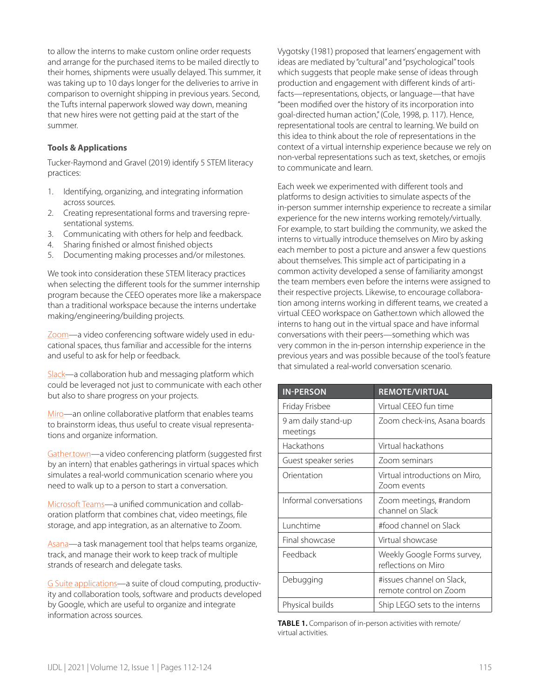to allow the interns to make custom online order requests and arrange for the purchased items to be mailed directly to their homes, shipments were usually delayed. This summer, it was taking up to 10 days longer for the deliveries to arrive in comparison to overnight shipping in previous years. Second, the Tufts internal paperwork slowed way down, meaning that new hires were not getting paid at the start of the summer.

# **Tools & Applications**

Tucker-Raymond and Gravel (2019) identify 5 STEM literacy practices:

- 1. Identifying, organizing, and integrating information across sources.
- 2. Creating representational forms and traversing representational systems.
- 3. Communicating with others for help and feedback.
- 4. Sharing finished or almost finished objects
- 5. Documenting making processes and/or milestones.

We took into consideration these STEM literacy practices when selecting the different tools for the summer internship program because the CEEO operates more like a makerspace than a traditional workspace because the interns undertake making/engineering/building projects.

[Zoom](https://zoom.us/)—a video conferencing software widely used in educational spaces, thus familiar and accessible for the interns and useful to ask for help or feedback.

[Slack—](https://slack.com/)a collaboration hub and messaging platform which could be leveraged not just to communicate with each other but also to share progress on your projects.

[Miro](https://miro.com/)—an online collaborative platform that enables teams to brainstorm ideas, thus useful to create visual representations and organize information.

[Gather.town](https://gather.town/)—a video conferencing platform (suggested first by an intern) that enables gatherings in virtual spaces which simulates a real-world communication scenario where you need to walk up to a person to start a conversation.

[Microsoft Teams—](https://www.microsoft.com/en-us/microsoft-365/microsoft-teams/group-chat-software)a unified communication and collaboration platform that combines chat, video meetings, file storage, and app integration, as an alternative to Zoom.

[Asana—](https://asana.com/)a task management tool that helps teams organize, track, and manage their work to keep track of multiple strands of research and delegate tasks.

[G Suite applications—](https://gsuite.google.com/)a suite of cloud computing, productivity and collaboration tools, software and products developed by Google, which are useful to organize and integrate information across sources.

Vygotsky (1981) proposed that learners' engagement with ideas are mediated by "cultural" and "psychological" tools which suggests that people make sense of ideas through production and engagement with different kinds of artifacts—representations, objects, or language—that have "been modified over the history of its incorporation into goal-directed human action," (Cole, 1998, p. 117). Hence, representational tools are central to learning. We build on this idea to think about the role of representations in the context of a virtual internship experience because we rely on non-verbal representations such as text, sketches, or emojis to communicate and learn.

Each week we experimented with different tools and platforms to design activities to simulate aspects of the in-person summer internship experience to recreate a similar experience for the new interns working remotely/virtually. For example, to start building the community, we asked the interns to virtually introduce themselves on Miro by asking each member to post a picture and answer a few questions about themselves. This simple act of participating in a common activity developed a sense of familiarity amongst the team members even before the interns were assigned to their respective projects. Likewise, to encourage collaboration among interns working in different teams, we created a virtual CEEO workspace on Gather.town which allowed the interns to hang out in the virtual space and have informal conversations with their peers—something which was very common in the in-person internship experience in the previous years and was possible because of the tool's feature that simulated a real-world conversation scenario.

| <b>IN-PERSON</b>                | <b>REMOTE/VIRTUAL</b>                               |
|---------------------------------|-----------------------------------------------------|
| Friday Frisbee                  | Virtual CEEO fun time                               |
| 9 am daily stand-up<br>meetings | Zoom check-ins, Asana boards                        |
| Hackathons                      | Virtual hackathons                                  |
| Guest speaker series            | Zoom seminars                                       |
| Orientation                     | Virtual introductions on Miro,<br>Zoom events       |
| Informal conversations          | Zoom meetings, #random<br>channel on Slack          |
| Lunchtime                       | #food channel on Slack                              |
| Final showcase                  | Virtual showcase                                    |
| Feedback                        | Weekly Google Forms survey,<br>reflections on Miro  |
| Debugging                       | #issues channel on Slack,<br>remote control on Zoom |
| Physical builds                 | Ship LEGO sets to the interns                       |

**TABLE 1.** Comparison of in-person activities with remote/ virtual activities.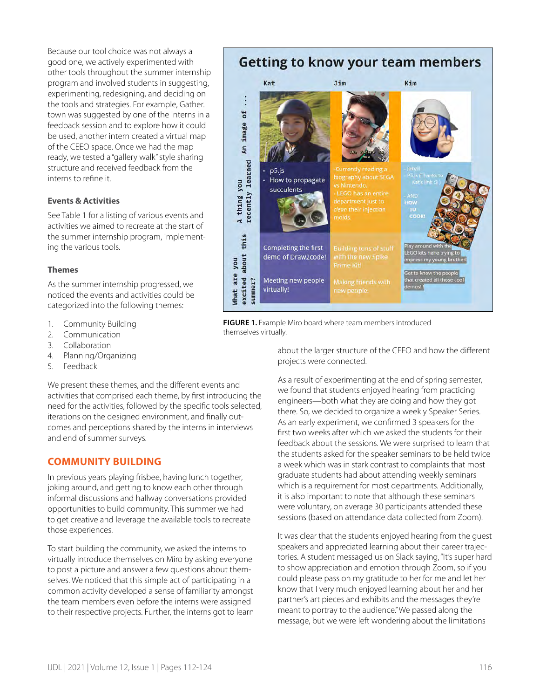Because our tool choice was not always a good one, we actively experimented with other tools throughout the summer internship program and involved students in suggesting, experimenting, redesigning, and deciding on the tools and strategies. For example, Gather. town was suggested by one of the interns in a feedback session and to explore how it could be used, another intern created a virtual map of the CEEO space. Once we had the map ready, we tested a "gallery walk" style sharing structure and received feedback from the interns to refine it.

# **Events & Activities**

See Table 1 for a listing of various events and activities we aimed to recreate at the start of the summer internship program, implementing the various tools.

#### **Themes**

As the summer internship progressed, we noticed the events and activities could be categorized into the following themes:

- 1. Community Building
- 2. Communication
- 3. Collaboration
- 4. Planning/Organizing
- 5. Feedback

We present these themes, and the different events and activities that comprised each theme, by first introducing the need for the activities, followed by the specific tools selected, iterations on the designed environment, and finally outcomes and perceptions shared by the interns in interviews and end of summer surveys.

# **COMMUNITY BUILDING**

In previous years playing frisbee, having lunch together, joking around, and getting to know each other through informal discussions and hallway conversations provided opportunities to build community. This summer we had to get creative and leverage the available tools to recreate those experiences.

To start building the community, we asked the interns to virtually introduce themselves on Miro by asking everyone to post a picture and answer a few questions about themselves. We noticed that this simple act of participating in a common activity developed a sense of familiarity amongst the team members even before the interns were assigned to their respective projects. Further, the interns got to learn

# **Getting to know your team members**



**FIGURE 1.** Example Miro board where team members introduced themselves virtually.

> about the larger structure of the CEEO and how the different projects were connected.

> As a result of experimenting at the end of spring semester, we found that students enjoyed hearing from practicing engineers—both what they are doing and how they got there. So, we decided to organize a weekly Speaker Series. As an early experiment, we confirmed 3 speakers for the first two weeks after which we asked the students for their feedback about the sessions. We were surprised to learn that the students asked for the speaker seminars to be held twice a week which was in stark contrast to complaints that most graduate students had about attending weekly seminars which is a requirement for most departments. Additionally, it is also important to note that although these seminars were voluntary, on average 30 participants attended these sessions (based on attendance data collected from Zoom).

It was clear that the students enjoyed hearing from the guest speakers and appreciated learning about their career trajectories. A student messaged us on Slack saying, "It's super hard to show appreciation and emotion through Zoom, so if you could please pass on my gratitude to her for me and let her know that I very much enjoyed learning about her and her partner's art pieces and exhibits and the messages they're meant to portray to the audience." We passed along the message, but we were left wondering about the limitations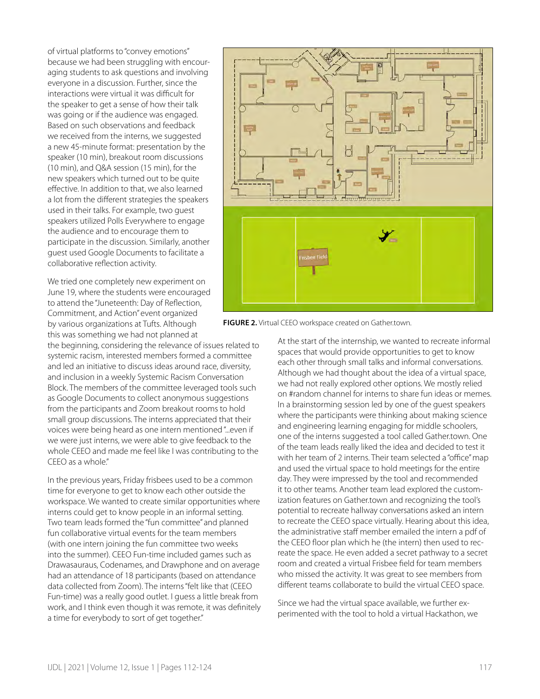of virtual platforms to "convey emotions" because we had been struggling with encouraging students to ask questions and involving everyone in a discussion. Further, since the interactions were virtual it was difficult for the speaker to get a sense of how their talk was going or if the audience was engaged. Based on such observations and feedback we received from the interns, we suggested a new 45-minute format: presentation by the speaker (10 min), breakout room discussions (10 min), and Q&A session (15 min), for the new speakers which turned out to be quite effective. In addition to that, we also learned a lot from the different strategies the speakers used in their talks. For example, two guest speakers utilized Polls Everywhere to engage the audience and to encourage them to participate in the discussion. Similarly, another guest used Google Documents to facilitate a collaborative reflection activity.

We tried one completely new experiment on June 19, where the students were encouraged to attend the "Juneteenth: Day of Reflection, Commitment, and Action" event organized by various organizations at Tufts. Although this was something we had not planned at

the beginning, considering the relevance of issues related to systemic racism, interested members formed a committee and led an initiative to discuss ideas around race, diversity, and inclusion in a weekly Systemic Racism Conversation Block. The members of the committee leveraged tools such as Google Documents to collect anonymous suggestions from the participants and Zoom breakout rooms to hold small group discussions. The interns appreciated that their voices were being heard as one intern mentioned "...even if we were just interns, we were able to give feedback to the whole CEEO and made me feel like I was contributing to the CEEO as a whole."

In the previous years, Friday frisbees used to be a common time for everyone to get to know each other outside the workspace. We wanted to create similar opportunities where interns could get to know people in an informal setting. Two team leads formed the "fun committee" and planned fun collaborative virtual events for the team members (with one intern joining the fun committee two weeks into the summer). CEEO Fun-time included games such as Drawasauraus, Codenames, and Drawphone and on average had an attendance of 18 participants (based on attendance data collected from Zoom). The interns "felt like that (CEEO Fun-time) was a really good outlet. I guess a little break from work, and I think even though it was remote, it was definitely a time for everybody to sort of get together."



**FIGURE 2.** Virtual CEEO workspace created on Gather.town.

At the start of the internship, we wanted to recreate informal spaces that would provide opportunities to get to know each other through small talks and informal conversations. Although we had thought about the idea of a virtual space, we had not really explored other options. We mostly relied on #random channel for interns to share fun ideas or memes. In a brainstorming session led by one of the guest speakers where the participants were thinking about making science and engineering learning engaging for middle schoolers, one of the interns suggested a tool called Gather.town. One of the team leads really liked the idea and decided to test it with her team of 2 interns. Their team selected a "office" map and used the virtual space to hold meetings for the entire day. They were impressed by the tool and recommended it to other teams. Another team lead explored the customization features on Gather.town and recognizing the tool's potential to recreate hallway conversations asked an intern to recreate the CEEO space virtually. Hearing about this idea, the administrative staff member emailed the intern a pdf of the CEEO floor plan which he (the intern) then used to recreate the space. He even added a secret pathway to a secret room and created a virtual Frisbee field for team members who missed the activity. It was great to see members from different teams collaborate to build the virtual CEEO space.

Since we had the virtual space available, we further experimented with the tool to hold a virtual Hackathon, we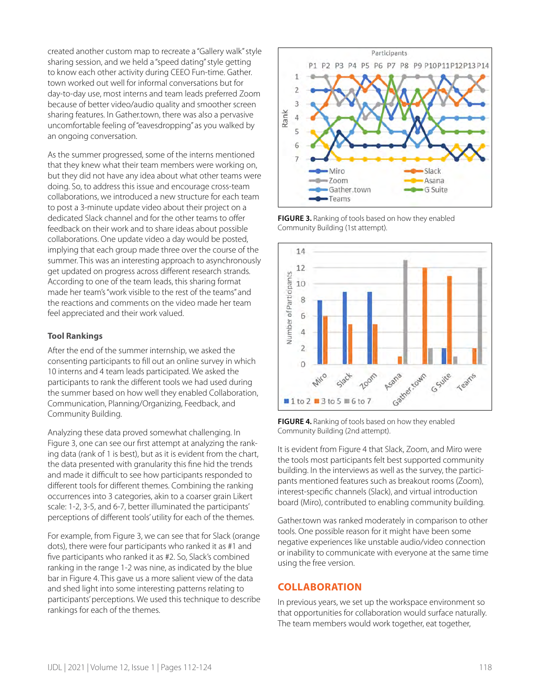created another custom map to recreate a "Gallery walk" style sharing session, and we held a "speed dating" style getting to know each other activity during CEEO Fun-time. Gather. town worked out well for informal conversations but for day-to-day use, most interns and team leads preferred Zoom because of better video/audio quality and smoother screen sharing features. In Gather.town, there was also a pervasive uncomfortable feeling of "eavesdropping" as you walked by an ongoing conversation.

As the summer progressed, some of the interns mentioned that they knew what their team members were working on, but they did not have any idea about what other teams were doing. So, to address this issue and encourage cross-team collaborations, we introduced a new structure for each team to post a 3-minute update video about their project on a dedicated Slack channel and for the other teams to offer feedback on their work and to share ideas about possible collaborations. One update video a day would be posted, implying that each group made three over the course of the summer. This was an interesting approach to asynchronously get updated on progress across different research strands. According to one of the team leads, this sharing format made her team's "work visible to the rest of the teams" and the reactions and comments on the video made her team feel appreciated and their work valued.

# **Tool Rankings**

After the end of the summer internship, we asked the consenting participants to fill out an online survey in which 10 interns and 4 team leads participated. We asked the participants to rank the different tools we had used during the summer based on how well they enabled Collaboration, Communication, Planning/Organizing, Feedback, and Community Building.

Analyzing these data proved somewhat challenging. In Figure 3, one can see our first attempt at analyzing the ranking data (rank of 1 is best), but as it is evident from the chart, the data presented with granularity this fine hid the trends and made it difficult to see how participants responded to different tools for different themes. Combining the ranking occurrences into 3 categories, akin to a coarser grain Likert scale: 1-2, 3-5, and 6-7, better illuminated the participants' perceptions of different tools' utility for each of the themes.

For example, from Figure 3, we can see that for Slack (orange dots), there were four participants who ranked it as #1 and five participants who ranked it as #2. So, Slack's combined ranking in the range 1-2 was nine, as indicated by the blue bar in Figure 4. This gave us a more salient view of the data and shed light into some interesting patterns relating to participants' perceptions. We used this technique to describe rankings for each of the themes.



**FIGURE 3.** Ranking of tools based on how they enabled Community Building (1st attempt).



**FIGURE 4.** Ranking of tools based on how they enabled Community Building (2nd attempt).

It is evident from Figure 4 that Slack, Zoom, and Miro were the tools most participants felt best supported community building. In the interviews as well as the survey, the participants mentioned features such as breakout rooms (Zoom), interest-specific channels (Slack), and virtual introduction board (Miro), contributed to enabling community building.

Gather.town was ranked moderately in comparison to other tools. One possible reason for it might have been some negative experiences like unstable audio/video connection or inability to communicate with everyone at the same time using the free version.

# **COLLABORATION**

In previous years, we set up the workspace environment so that opportunities for collaboration would surface naturally. The team members would work together, eat together,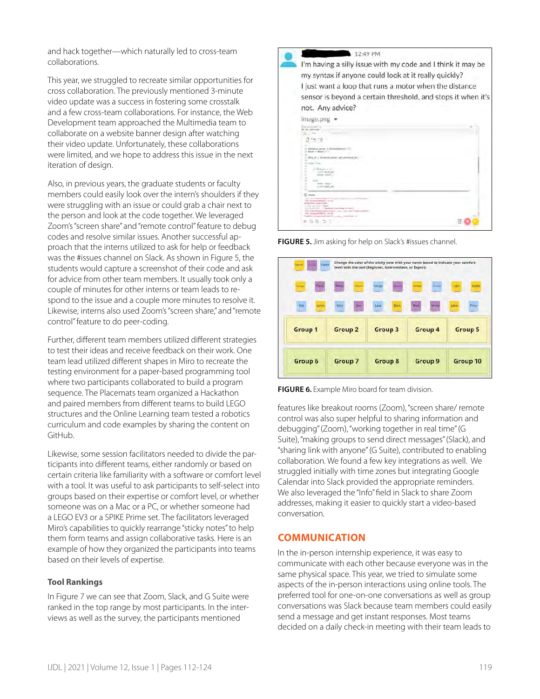and hack together—which naturally led to cross-team collaborations.

This year, we struggled to recreate similar opportunities for cross collaboration. The previously mentioned 3-minute video update was a success in fostering some crosstalk and a few cross-team collaborations. For instance, the Web Development team approached the Multimedia team to collaborate on a website banner design after watching their video update. Unfortunately, these collaborations were limited, and we hope to address this issue in the next iteration of design.

Also, in previous years, the graduate students or faculty members could easily look over the intern's shoulders if they were struggling with an issue or could grab a chair next to the person and look at the code together. We leveraged Zoom's "screen share" and "remote control" feature to debug codes and resolve similar issues. Another successful approach that the interns utilized to ask for help or feedback was the #issues channel on Slack. As shown in Figure 5, the students would capture a screenshot of their code and ask for advice from other team members. It usually took only a couple of minutes for other interns or team leads to respond to the issue and a couple more minutes to resolve it. Likewise, interns also used Zoom's "screen share," and "remote control" feature to do peer-coding.

Further, different team members utilized different strategies to test their ideas and receive feedback on their work. One team lead utilized different shapes in Miro to recreate the testing environment for a paper-based programming tool where two participants collaborated to build a program sequence. The Placemats team organized a Hackathon and paired members from different teams to build LEGO structures and the Online Learning team tested a robotics curriculum and code examples by sharing the content on GitHub.

Likewise, some session facilitators needed to divide the participants into different teams, either randomly or based on certain criteria like familiarity with a software or comfort level with a tool. It was useful to ask participants to self-select into groups based on their expertise or comfort level, or whether someone was on a Mac or a PC, or whether someone had a LEGO EV3 or a SPIKE Prime set. The facilitators leveraged Miro's capabilities to quickly rearrange "sticky notes" to help them form teams and assign collaborative tasks. Here is an example of how they organized the participants into teams based on their levels of expertise.

#### **Tool Rankings**

In Figure 7 we can see that Zoom, Slack, and G Suite were ranked in the top range by most participants. In the interviews as well as the survey, the participants mentioned



**FIGURE 5.** Jim asking for help on Slack's #issues channel.





features like breakout rooms (Zoom), "screen share/ remote control was also super helpful to sharing information and debugging" (Zoom), "working together in real time" (G Suite), "making groups to send direct messages" (Slack), and "sharing link with anyone" (G Suite), contributed to enabling collaboration. We found a few key integrations as well. We struggled initially with time zones but integrating Google Calendar into Slack provided the appropriate reminders. We also leveraged the "Info" field in Slack to share Zoom addresses, making it easier to quickly start a video-based conversation.

# **COMMUNICATION**

In the in-person internship experience, it was easy to communicate with each other because everyone was in the same physical space. This year, we tried to simulate some aspects of the in-person interactions using online tools. The preferred tool for one-on-one conversations as well as group conversations was Slack because team members could easily send a message and get instant responses. Most teams decided on a daily check-in meeting with their team leads to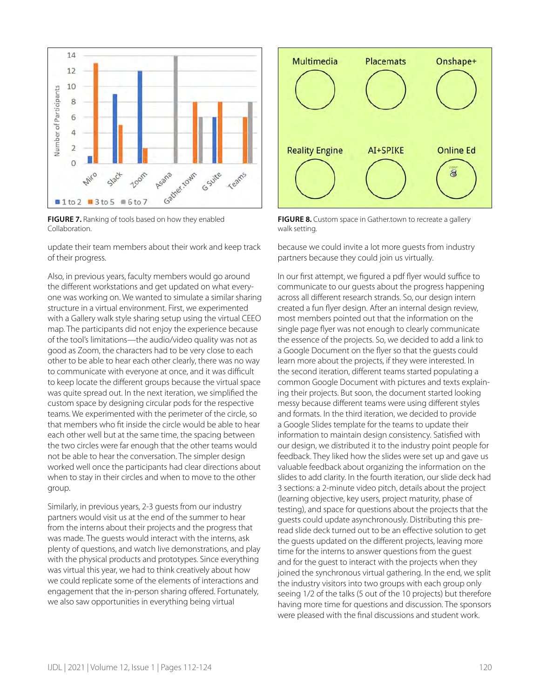

**FIGURE 7.** Ranking of tools based on how they enabled Collaboration.

update their team members about their work and keep track of their progress.

Also, in previous years, faculty members would go around the different workstations and get updated on what everyone was working on. We wanted to simulate a similar sharing structure in a virtual environment. First, we experimented with a Gallery walk style sharing setup using the virtual CEEO map. The participants did not enjoy the experience because of the tool's limitations—the audio/video quality was not as good as Zoom, the characters had to be very close to each other to be able to hear each other clearly, there was no way to communicate with everyone at once, and it was difficult to keep locate the different groups because the virtual space was quite spread out. In the next iteration, we simplified the custom space by designing circular pods for the respective teams. We experimented with the perimeter of the circle, so that members who fit inside the circle would be able to hear each other well but at the same time, the spacing between the two circles were far enough that the other teams would not be able to hear the conversation. The simpler design worked well once the participants had clear directions about when to stay in their circles and when to move to the other group.

Similarly, in previous years, 2-3 guests from our industry partners would visit us at the end of the summer to hear from the interns about their projects and the progress that was made. The guests would interact with the interns, ask plenty of questions, and watch live demonstrations, and play with the physical products and prototypes. Since everything was virtual this year, we had to think creatively about how we could replicate some of the elements of interactions and engagement that the in-person sharing offered. Fortunately, we also saw opportunities in everything being virtual



**FIGURE 8.** Custom space in Gather.town to recreate a gallery walk setting.

because we could invite a lot more guests from industry partners because they could join us virtually.

In our first attempt, we figured a pdf flyer would suffice to communicate to our guests about the progress happening across all different research strands. So, our design intern created a fun flyer design. After an internal design review, most members pointed out that the information on the single page flyer was not enough to clearly communicate the essence of the projects. So, we decided to add a link to a Google Document on the flyer so that the guests could learn more about the projects, if they were interested. In the second iteration, different teams started populating a common Google Document with pictures and texts explaining their projects. But soon, the document started looking messy because different teams were using different styles and formats. In the third iteration, we decided to provide a Google Slides template for the teams to update their information to maintain design consistency. Satisfied with our design, we distributed it to the industry point people for feedback. They liked how the slides were set up and gave us valuable feedback about organizing the information on the slides to add clarity. In the fourth iteration, our slide deck had 3 sections: a 2-minute video pitch, details about the project (learning objective, key users, project maturity, phase of testing), and space for questions about the projects that the guests could update asynchronously. Distributing this preread slide deck turned out to be an effective solution to get the guests updated on the different projects, leaving more time for the interns to answer questions from the guest and for the guest to interact with the projects when they joined the synchronous virtual gathering. In the end, we split the industry visitors into two groups with each group only seeing 1/2 of the talks (5 out of the 10 projects) but therefore having more time for questions and discussion. The sponsors were pleased with the final discussions and student work.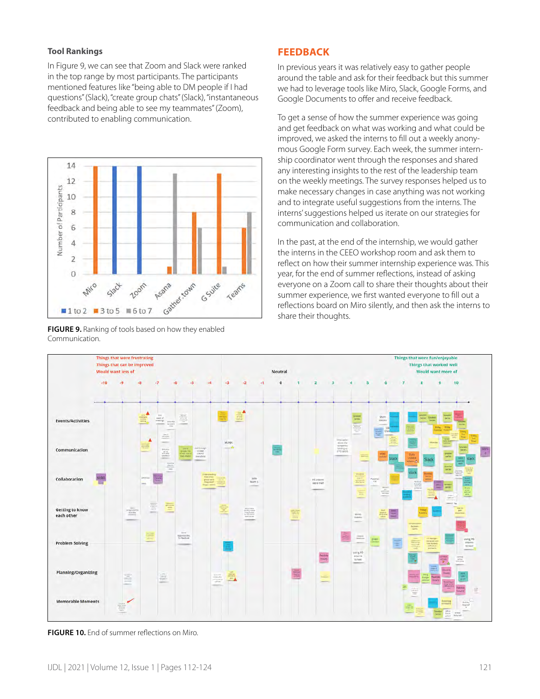# **Tool Rankings**

In Figure 9, we can see that Zoom and Slack were ranked in the top range by most participants. The participants mentioned features like "being able to DM people if I had questions" (Slack), "create group chats" (Slack), "instantaneous feedback and being able to see my teammates" (Zoom), contributed to enabling communication.



**FIGURE 9.** Ranking of tools based on how they enabled Communication.

# **FEEDBACK**

In previous years it was relatively easy to gather people around the table and ask for their feedback but this summer we had to leverage tools like Miro, Slack, Google Forms, and Google Documents to offer and receive feedback.

To get a sense of how the summer experience was going and get feedback on what was working and what could be improved, we asked the interns to fill out a weekly anonymous Google Form survey. Each week, the summer internship coordinator went through the responses and shared any interesting insights to the rest of the leadership team on the weekly meetings. The survey responses helped us to make necessary changes in case anything was not working and to integrate useful suggestions from the interns. The interns' suggestions helped us iterate on our strategies for communication and collaboration.

In the past, at the end of the internship, we would gather the interns in the CEEO workshop room and ask them to reflect on how their summer internship experience was. This year, for the end of summer reflections, instead of asking everyone on a Zoom call to share their thoughts about their summer experience, we first wanted everyone to fill out a reflections board on Miro silently, and then ask the interns to share their thoughts.



**FIGURE 10.** End of summer reflections on Miro.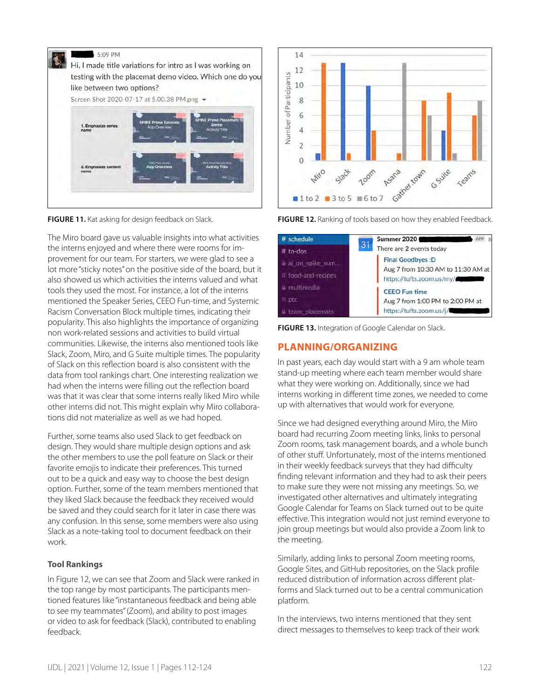

The Miro board gave us valuable insights into what activities the interns enjoyed and where there were rooms for improvement for our team. For starters, we were glad to see a lot more "sticky notes" on the positive side of the board, but it also showed us which activities the interns valued and what tools they used the most. For instance, a lot of the interns mentioned the Speaker Series, CEEO Fun-time, and Systemic Racism Conversation Block multiple times, indicating their popularity. This also highlights the importance of organizing non work-related sessions and activities to build virtual communities. Likewise, the interns also mentioned tools like Slack, Zoom, Miro, and G Suite multiple times. The popularity of Slack on this reflection board is also consistent with the data from tool rankings chart. One interesting realization we had when the interns were filling out the reflection board was that it was clear that some interns really liked Miro while other interns did not. This might explain why Miro collaborations did not materialize as well as we had hoped.

Further, some teams also used Slack to get feedback on design. They would share multiple design options and ask the other members to use the poll feature on Slack or their favorite emojis to indicate their preferences. This turned out to be a quick and easy way to choose the best design option. Further, some of the team members mentioned that they liked Slack because the feedback they received would be saved and they could search for it later in case there was any confusion. In this sense, some members were also using Slack as a note-taking tool to document feedback on their work.

#### **Tool Rankings**

In Figure 12, we can see that Zoom and Slack were ranked in the top range by most participants. The participants mentioned features like "instantaneous feedback and being able to see my teammates" (Zoom), and ability to post images or video to ask for feedback (Slack), contributed to enabling feedback.



**FIGURE 11.** Kat asking for design feedback on Slack. **FIGURE 12.** Ranking of tools based on how they enabled Feedback.

| # schedule             | <b>Summer 2020</b><br>$\overline{B}$                                                                                                                                                      |
|------------------------|-------------------------------------------------------------------------------------------------------------------------------------------------------------------------------------------|
| $#$ to-dos             | 31<br>There are 2 events today<br><b>Final Goodbyes: D</b><br>Aug 7 from 10:30 AM to 11:30 AM at<br>https://tufts.zoom.us/my/<br><b>CEEO Fun time</b><br>Aug 7 from 1:00 PM to 2:00 PM at |
| a ai on spike sum      |                                                                                                                                                                                           |
| # food-and-recipes     |                                                                                                                                                                                           |
| $\triangle$ multimedia |                                                                                                                                                                                           |
| $#$ ptc                |                                                                                                                                                                                           |
| a team placemats       | https://tufts.zoom.us/j/                                                                                                                                                                  |

**FIGURE 13.** Integration of Google Calendar on Slack.

# **PLANNING/ORGANIZING**

In past years, each day would start with a 9 am whole team stand-up meeting where each team member would share what they were working on. Additionally, since we had interns working in different time zones, we needed to come up with alternatives that would work for everyone.

Since we had designed everything around Miro, the Miro board had recurring Zoom meeting links, links to personal Zoom rooms, task management boards, and a whole bunch of other stuff. Unfortunately, most of the interns mentioned in their weekly feedback surveys that they had difficulty finding relevant information and they had to ask their peers to make sure they were not missing any meetings. So, we investigated other alternatives and ultimately integrating Google Calendar for Teams on Slack turned out to be quite effective. This integration would not just remind everyone to join group meetings but would also provide a Zoom link to the meeting.

Similarly, adding links to personal Zoom meeting rooms, Google Sites, and GitHub repositories, on the Slack profile reduced distribution of information across different platforms and Slack turned out to be a central communication platform.

In the interviews, two interns mentioned that they sent direct messages to themselves to keep track of their work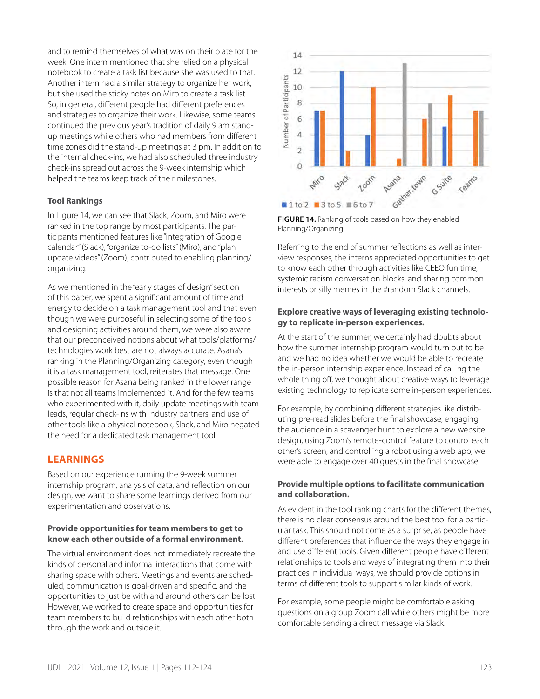and to remind themselves of what was on their plate for the week. One intern mentioned that she relied on a physical notebook to create a task list because she was used to that. Another intern had a similar strategy to organize her work, but she used the sticky notes on Miro to create a task list. So, in general, different people had different preferences and strategies to organize their work. Likewise, some teams continued the previous year's tradition of daily 9 am standup meetings while others who had members from different time zones did the stand-up meetings at 3 pm. In addition to the internal check-ins, we had also scheduled three industry check-ins spread out across the 9-week internship which helped the teams keep track of their milestones.

# **Tool Rankings**

In Figure 14, we can see that Slack, Zoom, and Miro were ranked in the top range by most participants. The participants mentioned features like "integration of Google calendar" (Slack), "organize to-do lists" (Miro), and "plan update videos" (Zoom), contributed to enabling planning/ organizing.

As we mentioned in the "early stages of design" section of this paper, we spent a significant amount of time and energy to decide on a task management tool and that even though we were purposeful in selecting some of the tools and designing activities around them, we were also aware that our preconceived notions about what tools/platforms/ technologies work best are not always accurate. Asana's ranking in the Planning/Organizing category, even though it is a task management tool, reiterates that message. One possible reason for Asana being ranked in the lower range is that not all teams implemented it. And for the few teams who experimented with it, daily update meetings with team leads, regular check-ins with industry partners, and use of other tools like a physical notebook, Slack, and Miro negated the need for a dedicated task management tool.

# **LEARNINGS**

Based on our experience running the 9-week summer internship program, analysis of data, and reflection on our design, we want to share some learnings derived from our experimentation and observations.

# **Provide opportunities for team members to get to know each other outside of a formal environment.**

The virtual environment does not immediately recreate the kinds of personal and informal interactions that come with sharing space with others. Meetings and events are scheduled, communication is goal-driven and specific, and the opportunities to just be with and around others can be lost. However, we worked to create space and opportunities for team members to build relationships with each other both through the work and outside it.



**FIGURE 14.** Ranking of tools based on how they enabled Planning/Organizing.

Referring to the end of summer reflections as well as interview responses, the interns appreciated opportunities to get to know each other through activities like CEEO fun time, systemic racism conversation blocks, and sharing common interests or silly memes in the #random Slack channels.

# **Explore creative ways of leveraging existing technology to replicate in-person experiences.**

At the start of the summer, we certainly had doubts about how the summer internship program would turn out to be and we had no idea whether we would be able to recreate the in-person internship experience. Instead of calling the whole thing off, we thought about creative ways to leverage existing technology to replicate some in-person experiences.

For example, by combining different strategies like distributing pre-read slides before the final showcase, engaging the audience in a scavenger hunt to explore a new website design, using Zoom's remote-control feature to control each other's screen, and controlling a robot using a web app, we were able to engage over 40 guests in the final showcase.

# **Provide multiple options to facilitate communication and collaboration.**

As evident in the tool ranking charts for the different themes, there is no clear consensus around the best tool for a particular task. This should not come as a surprise, as people have different preferences that influence the ways they engage in and use different tools. Given different people have different relationships to tools and ways of integrating them into their practices in individual ways, we should provide options in terms of different tools to support similar kinds of work.

For example, some people might be comfortable asking questions on a group Zoom call while others might be more comfortable sending a direct message via Slack.